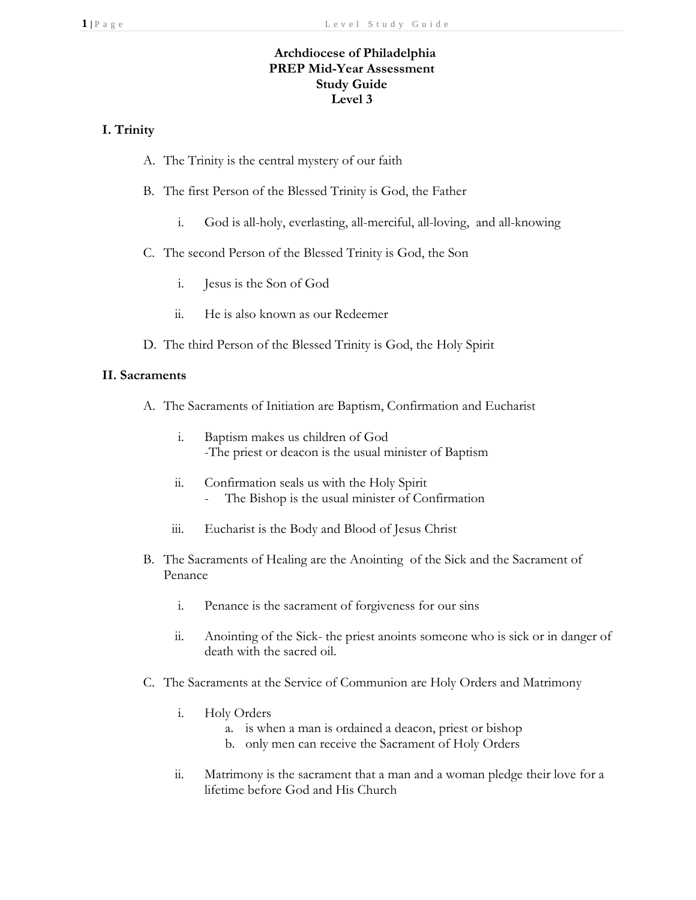# **Archdiocese of Philadelphia PREP Mid-Year Assessment Study Guide Level 3**

# **I. Trinity**

- A. The Trinity is the central mystery of our faith
- B. The first Person of the Blessed Trinity is God, the Father
	- i. God is all-holy, everlasting, all-merciful, all-loving, and all-knowing
- C. The second Person of the Blessed Trinity is God, the Son
	- i. Jesus is the Son of God
	- ii. He is also known as our Redeemer
- D. The third Person of the Blessed Trinity is God, the Holy Spirit

## **II. Sacraments**

- A. The Sacraments of Initiation are Baptism, Confirmation and Eucharist
	- i. Baptism makes us children of God -The priest or deacon is the usual minister of Baptism
	- ii. Confirmation seals us with the Holy Spirit - The Bishop is the usual minister of Confirmation
	- iii. Eucharist is the Body and Blood of Jesus Christ
- B. The Sacraments of Healing are the Anointing of the Sick and the Sacrament of Penance
	- i. Penance is the sacrament of forgiveness for our sins
	- ii. Anointing of the Sick- the priest anoints someone who is sick or in danger of death with the sacred oil.
- C. The Sacraments at the Service of Communion are Holy Orders and Matrimony
	- i. Holy Orders
		- a. is when a man is ordained a deacon, priest or bishop
		- b. only men can receive the Sacrament of Holy Orders
	- ii. Matrimony is the sacrament that a man and a woman pledge their love for a lifetime before God and His Church